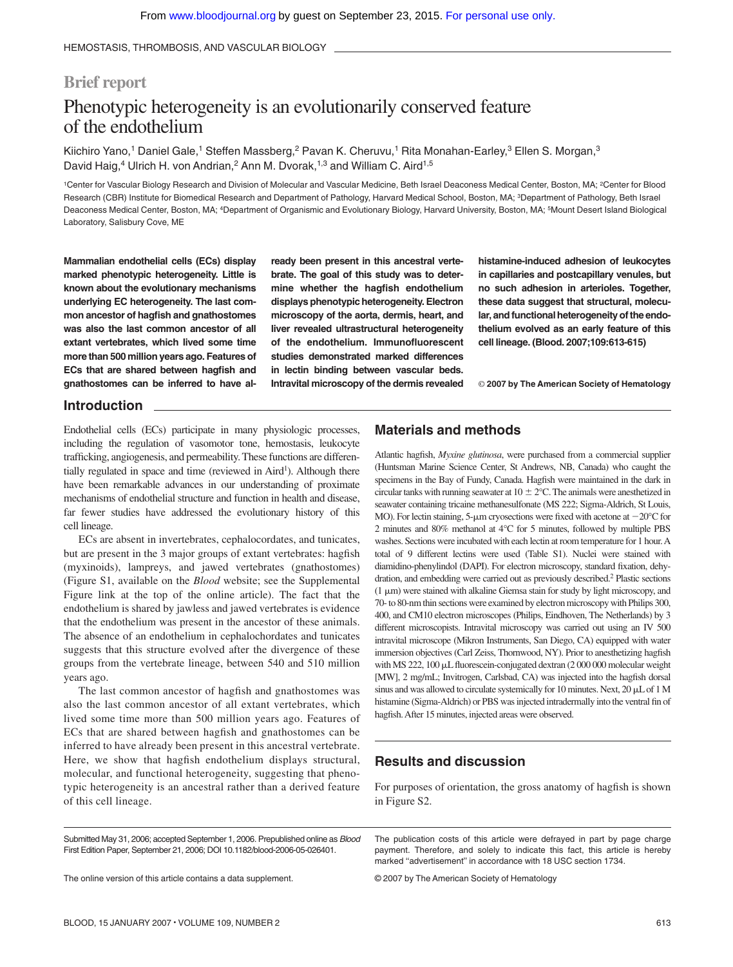HEMOSTASIS, THROMBOSIS, AND VASCULAR BIOLOGY

# **Brief report** Phenotypic heterogeneity is an evolutionarily conserved feature of the endothelium

Kiichiro Yano,<sup>1</sup> Daniel Gale,<sup>1</sup> Steffen Massberg,<sup>2</sup> Pavan K. Cheruvu,<sup>1</sup> Rita Monahan-Earley,<sup>3</sup> Ellen S. Morgan,<sup>3</sup> David Haig,<sup>4</sup> Ulrich H. von Andrian,<sup>2</sup> Ann M. Dvorak,<sup>1,3</sup> and William C. Aird<sup>1,5</sup>

1Center for Vascular Biology Research and Division of Molecular and Vascular Medicine, Beth Israel Deaconess Medical Center, Boston, MA; 2Center for Blood Research (CBR) Institute for Biomedical Research and Department of Pathology, Harvard Medical School, Boston, MA; 3Department of Pathology, Beth Israel Deaconess Medical Center, Boston, MA; <sup>4</sup>Department of Organismic and Evolutionary Biology, Harvard University, Boston, MA; <sup>5</sup>Mount Desert Island Biological Laboratory, Salisbury Cove, ME

**Mammalian endothelial cells (ECs) display marked phenotypic heterogeneity. Little is known about the evolutionary mechanisms underlying EC heterogeneity. The last common ancestor of hagfish and gnathostomes was also the last common ancestor of all extant vertebrates, which lived some time more than 500 million years ago. Features of ECs that are shared between hagfish and gnathostomes can be inferred to have al-** **ready been present in this ancestral vertebrate. The goal of this study was to determine whether the hagfish endothelium displays phenotypic heterogeneity. Electron microscopy of the aorta, dermis, heart, and liver revealed ultrastructural heterogeneity of the endothelium. Immunofluorescent studies demonstrated marked differences in lectin binding between vascular beds. Intravital microscopy of the dermis revealed** **histamine-induced adhesion of leukocytes in capillaries and postcapillary venules, but no such adhesion in arterioles. Together, these data suggest that structural, molecular, and functional heterogeneity of the endothelium evolved as an early feature of this cell lineage. (Blood. 2007;109:613-615)**

© **2007 by The American Society of Hematology**

# **Introduction**

Endothelial cells (ECs) participate in many physiologic processes, including the regulation of vasomotor tone, hemostasis, leukocyte trafficking, angiogenesis, and permeability. These functions are differentially regulated in space and time (reviewed in  $Aird<sup>1</sup>$ ). Although there have been remarkable advances in our understanding of proximate mechanisms of endothelial structure and function in health and disease, far fewer studies have addressed the evolutionary history of this cell lineage.

ECs are absent in invertebrates, cephalocordates, and tunicates, but are present in the 3 major groups of extant vertebrates: hagfish (myxinoids), lampreys, and jawed vertebrates (gnathostomes) (Figure S1, available on the *Blood* website; see the Supplemental Figure link at the top of the online article). The fact that the endothelium is shared by jawless and jawed vertebrates is evidence that the endothelium was present in the ancestor of these animals. The absence of an endothelium in cephalochordates and tunicates suggests that this structure evolved after the divergence of these groups from the vertebrate lineage, between 540 and 510 million years ago.

The last common ancestor of hagfish and gnathostomes was also the last common ancestor of all extant vertebrates, which lived some time more than 500 million years ago. Features of ECs that are shared between hagfish and gnathostomes can be inferred to have already been present in this ancestral vertebrate. Here, we show that hagfish endothelium displays structural, molecular, and functional heterogeneity, suggesting that phenotypic heterogeneity is an ancestral rather than a derived feature of this cell lineage.

# **Materials and methods**

Atlantic hagfish, *Myxine glutinosa*, were purchased from a commercial supplier (Huntsman Marine Science Center, St Andrews, NB, Canada) who caught the specimens in the Bay of Fundy, Canada. Hagfish were maintained in the dark in circular tanks with running seawater at  $10 \pm 2$ °C. The animals were anesthetized in seawater containing tricaine methanesulfonate (MS 222; Sigma-Aldrich, St Louis, MO). For lectin staining, 5- $\mu$ m cryosections were fixed with acetone at  $-20^{\circ}$ C for 2 minutes and 80% methanol at 4°C for 5 minutes, followed by multiple PBS washes. Sections were incubated with each lectin at room temperature for 1 hour.A total of 9 different lectins were used (Table S1). Nuclei were stained with diamidino-phenylindol (DAPI). For electron microscopy, standard fixation, dehydration, and embedding were carried out as previously described.2 Plastic sections  $(1 \mu m)$  were stained with alkaline Giemsa stain for study by light microscopy, and 70- to 80-nm thin sections were examined by electron microscopy with Philips 300, 400, and CM10 electron microscopes (Philips, Eindhoven, The Netherlands) by 3 different microscopists. Intravital microscopy was carried out using an IV 500 intravital microscope (Mikron Instruments, San Diego, CA) equipped with water immersion objectives (Carl Zeiss, Thornwood, NY). Prior to anesthetizing hagfish with MS 222, 100 µL fluorescein-conjugated dextran (2 000 000 molecular weight [MW], 2 mg/mL; Invitrogen, Carlsbad, CA) was injected into the hagfish dorsal sinus and was allowed to circulate systemically for 10 minutes. Next,  $20 \mu L$  of 1 M histamine (Sigma-Aldrich) or PBS was injected intradermally into the ventral fin of hagfish.After 15 minutes, injected areas were observed.

# **Results and discussion**

For purposes of orientation, the gross anatomy of hagfish is shown in Figure S2.

Submitted May 31, 2006; accepted September 1, 2006. Prepublished online as *Blood* First Edition Paper, September 21, 2006; DOI 10.1182/blood-2006-05-026401.

The online version of this article contains a data supplement.

The publication costs of this article were defrayed in part by page charge payment. Therefore, and solely to indicate this fact, this article is hereby marked "advertisement" in accordance with 18 USC section 1734.

© 2007 by The American Society of Hematology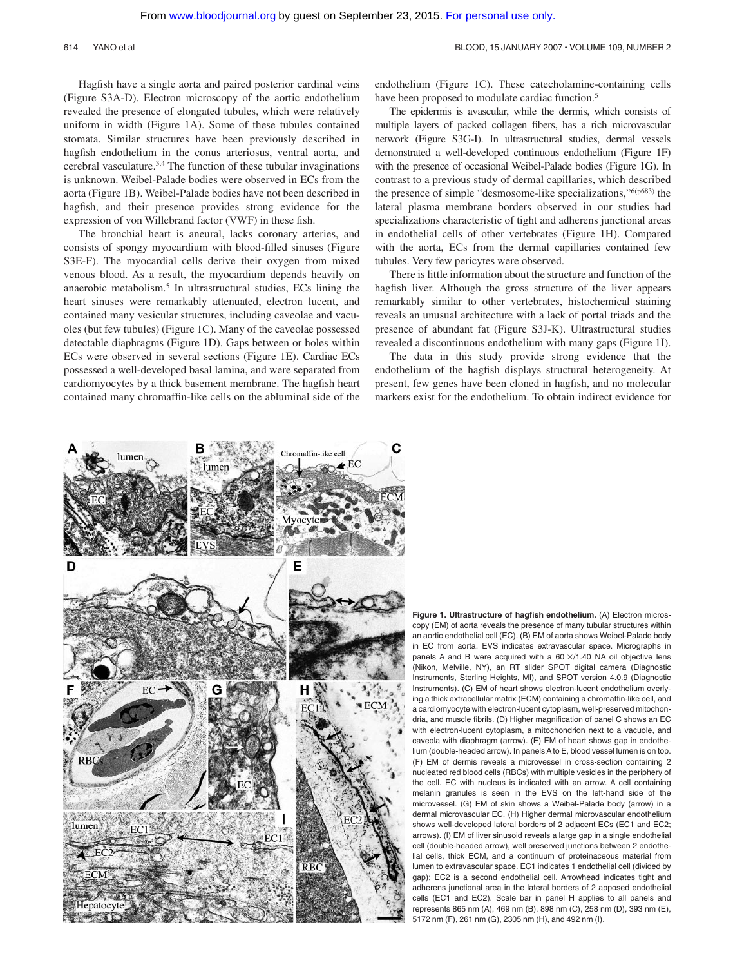Hagfish have a single aorta and paired posterior cardinal veins (Figure S3A-D). Electron microscopy of the aortic endothelium revealed the presence of elongated tubules, which were relatively uniform in width (Figure 1A). Some of these tubules contained stomata. Similar structures have been previously described in hagfish endothelium in the conus arteriosus, ventral aorta, and cerebral vasculature.3,4 The function of these tubular invaginations is unknown. Weibel-Palade bodies were observed in ECs from the aorta (Figure 1B). Weibel-Palade bodies have not been described in hagfish, and their presence provides strong evidence for the expression of von Willebrand factor (VWF) in these fish.

The bronchial heart is aneural, lacks coronary arteries, and consists of spongy myocardium with blood-filled sinuses (Figure S3E-F). The myocardial cells derive their oxygen from mixed venous blood. As a result, the myocardium depends heavily on anaerobic metabolism.5 In ultrastructural studies, ECs lining the heart sinuses were remarkably attenuated, electron lucent, and contained many vesicular structures, including caveolae and vacuoles (but few tubules) (Figure 1C). Many of the caveolae possessed detectable diaphragms (Figure 1D). Gaps between or holes within ECs were observed in several sections (Figure 1E). Cardiac ECs possessed a well-developed basal lamina, and were separated from cardiomyocytes by a thick basement membrane. The hagfish heart contained many chromaffin-like cells on the abluminal side of the

endothelium (Figure 1C). These catecholamine-containing cells have been proposed to modulate cardiac function.<sup>5</sup>

The epidermis is avascular, while the dermis, which consists of multiple layers of packed collagen fibers, has a rich microvascular network (Figure S3G-I). In ultrastructural studies, dermal vessels demonstrated a well-developed continuous endothelium (Figure 1F) with the presence of occasional Weibel-Palade bodies (Figure 1G). In contrast to a previous study of dermal capillaries, which described the presence of simple "desmosome-like specializations,"6(p683) the lateral plasma membrane borders observed in our studies had specializations characteristic of tight and adherens junctional areas in endothelial cells of other vertebrates (Figure 1H). Compared with the aorta, ECs from the dermal capillaries contained few tubules. Very few pericytes were observed.

There is little information about the structure and function of the hagfish liver. Although the gross structure of the liver appears remarkably similar to other vertebrates, histochemical staining reveals an unusual architecture with a lack of portal triads and the presence of abundant fat (Figure S3J-K). Ultrastructural studies revealed a discontinuous endothelium with many gaps (Figure 1I).

The data in this study provide strong evidence that the endothelium of the hagfish displays structural heterogeneity. At present, few genes have been cloned in hagfish, and no molecular markers exist for the endothelium. To obtain indirect evidence for



**Figure 1. Ultrastructure of hagfish endothelium.** (A) Electron microscopy (EM) of aorta reveals the presence of many tubular structures within an aortic endothelial cell (EC). (B) EM of aorta shows Weibel-Palade body in EC from aorta. EVS indicates extravascular space. Micrographs in panels A and B were acquired with a  $60 \times /1.40$  NA oil objective lens (Nikon, Melville, NY), an RT slider SPOT digital camera (Diagnostic Instruments, Sterling Heights, MI), and SPOT version 4.0.9 (Diagnostic Instruments). (C) EM of heart shows electron-lucent endothelium overlying a thick extracellular matrix (ECM) containing a chromaffin-like cell, and a cardiomyocyte with electron-lucent cytoplasm, well-preserved mitochondria, and muscle fibrils. (D) Higher magnification of panel C shows an EC with electron-lucent cytoplasm, a mitochondrion next to a vacuole, and caveola with diaphragm (arrow). (E) EM of heart shows gap in endothelium (double-headed arrow). In panels A to E, blood vessel lumen is on top. (F) EM of dermis reveals a microvessel in cross-section containing 2 nucleated red blood cells (RBCs) with multiple vesicles in the periphery of the cell. EC with nucleus is indicated with an arrow. A cell containing melanin granules is seen in the EVS on the left-hand side of the microvessel. (G) EM of skin shows a Weibel-Palade body (arrow) in a dermal microvascular EC. (H) Higher dermal microvascular endothelium shows well-developed lateral borders of 2 adjacent ECs (EC1 and EC2; arrows). (I) EM of liver sinusoid reveals a large gap in a single endothelial cell (double-headed arrow), well preserved junctions between 2 endothelial cells, thick ECM, and a continuum of proteinaceous material from lumen to extravascular space. EC1 indicates 1 endothelial cell (divided by gap); EC2 is a second endothelial cell. Arrowhead indicates tight and adherens junctional area in the lateral borders of 2 apposed endothelial cells (EC1 and EC2). Scale bar in panel H applies to all panels and represents 865 nm (A), 469 nm (B), 898 nm (C), 258 nm (D), 393 nm (E), 5172 nm (F), 261 nm (G), 2305 nm (H), and 492 nm (I).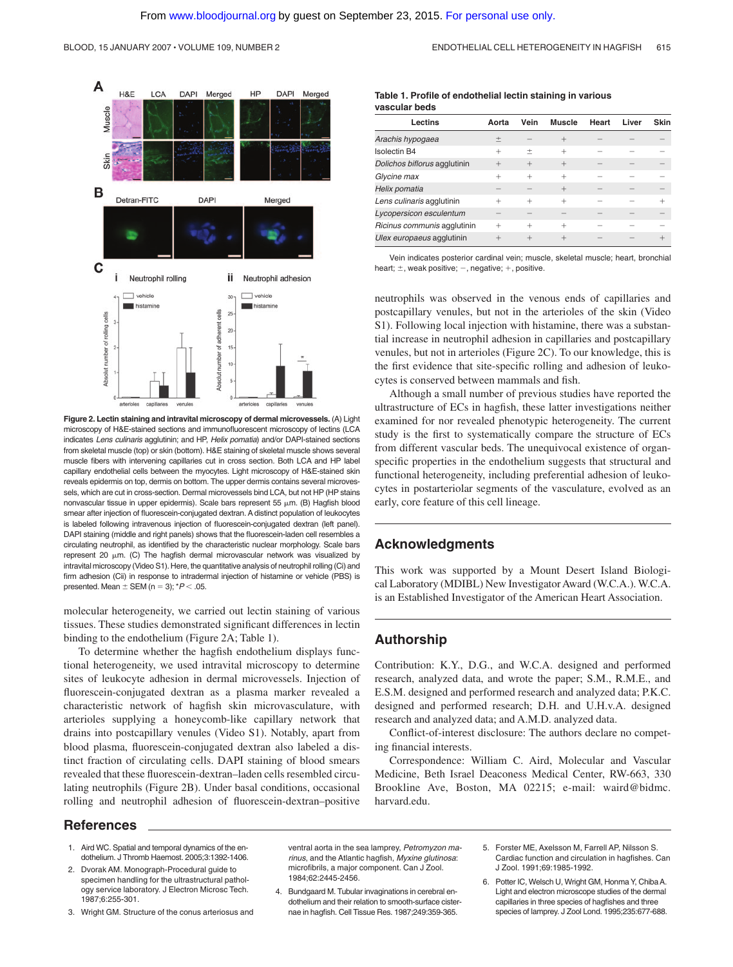

**Figure 2. Lectin staining and intravital microscopy of dermal microvessels.** (A) Light microscopy of H&E-stained sections and immunofluorescent microscopy of lectins (LCA indicates *Lens culinaris* agglutinin; and HP, *Helix pomatia*) and/or DAPI-stained sections from skeletal muscle (top) or skin (bottom). H&E staining of skeletal muscle shows several muscle fibers with intervening capillaries cut in cross section. Both LCA and HP label capillary endothelial cells between the myocytes. Light microscopy of H&E-stained skin reveals epidermis on top, dermis on bottom. The upper dermis contains several microvessels, which are cut in cross-section. Dermal microvessels bind LCA, but not HP (HP stains nonvascular tissue in upper epidermis). Scale bars represent 55  $\mu$ m. (B) Hagfish blood smear after injection of fluorescein-conjugated dextran. A distinct population of leukocytes is labeled following intravenous injection of fluorescein-conjugated dextran (left panel). DAPI staining (middle and right panels) shows that the fluorescein-laden cell resembles a circulating neutrophil, as identified by the characteristic nuclear morphology. Scale bars represent 20  $\mu$ m. (C) The hagfish dermal microvascular network was visualized by intravital microscopy (Video S1). Here, the quantitative analysis of neutrophil rolling (Ci) and firm adhesion (Cii) in response to intradermal injection of histamine or vehicle (PBS) is presented. Mean  $\pm$  SEM (n = 3);  $*P < .05$ .

molecular heterogeneity, we carried out lectin staining of various tissues. These studies demonstrated significant differences in lectin binding to the endothelium (Figure 2A; Table 1).

To determine whether the hagfish endothelium displays functional heterogeneity, we used intravital microscopy to determine sites of leukocyte adhesion in dermal microvessels. Injection of fluorescein-conjugated dextran as a plasma marker revealed a characteristic network of hagfish skin microvasculature, with arterioles supplying a honeycomb-like capillary network that drains into postcapillary venules (Video S1). Notably, apart from blood plasma, fluorescein-conjugated dextran also labeled a distinct fraction of circulating cells. DAPI staining of blood smears revealed that these fluorescein-dextran–laden cells resembled circulating neutrophils (Figure 2B). Under basal conditions, occasional rolling and neutrophil adhesion of fluorescein-dextran–positive

#### **Table 1. Profile of endothelial lectin staining in various vascular beds**

| Lectins                      | Aorta  | Vein   | <b>Muscle</b> | Heart | Liver | Skin   |
|------------------------------|--------|--------|---------------|-------|-------|--------|
| Arachis hypogaea             | 土      |        | $^{+}$        |       |       |        |
| <b>Isolectin B4</b>          | $^{+}$ | $\pm$  | $^{+}$        |       |       |        |
| Dolichos biflorus agglutinin | $^{+}$ | $^{+}$ | $^{+}$        |       |       |        |
| Glycine max                  | $^{+}$ | $^{+}$ | $^{+}$        |       |       |        |
| Helix pomatia                |        |        | $+$           |       |       |        |
| Lens culinaris agglutinin    | $^{+}$ | $^{+}$ | $^{+}$        |       |       | $^{+}$ |
| Lycopersicon esculentum      |        |        |               |       |       |        |
| Ricinus communis agglutinin  | $^{+}$ | $^{+}$ | $^{+}$        |       |       |        |
| Ulex europaeus agglutinin    | $^{+}$ | $^{+}$ | $^{+}$        |       |       | $^{+}$ |

Vein indicates posterior cardinal vein; muscle, skeletal muscle; heart, bronchial heart;  $\pm$ , weak positive;  $-$ , negative;  $+$ , positive.

neutrophils was observed in the venous ends of capillaries and postcapillary venules, but not in the arterioles of the skin (Video S1). Following local injection with histamine, there was a substantial increase in neutrophil adhesion in capillaries and postcapillary venules, but not in arterioles (Figure 2C). To our knowledge, this is the first evidence that site-specific rolling and adhesion of leukocytes is conserved between mammals and fish.

Although a small number of previous studies have reported the ultrastructure of ECs in hagfish, these latter investigations neither examined for nor revealed phenotypic heterogeneity. The current study is the first to systematically compare the structure of ECs from different vascular beds. The unequivocal existence of organspecific properties in the endothelium suggests that structural and functional heterogeneity, including preferential adhesion of leukocytes in postarteriolar segments of the vasculature, evolved as an early, core feature of this cell lineage.

# **Acknowledgments**

This work was supported by a Mount Desert Island Biological Laboratory (MDIBL) New Investigator Award (W.C.A.). W.C.A. is an Established Investigator of the American Heart Association.

# **Authorship**

Contribution: K.Y., D.G., and W.C.A. designed and performed research, analyzed data, and wrote the paper; S.M., R.M.E., and E.S.M. designed and performed research and analyzed data; P.K.C. designed and performed research; D.H. and U.H.v.A. designed research and analyzed data; and A.M.D. analyzed data.

Conflict-of-interest disclosure: The authors declare no competing financial interests.

Correspondence: William C. Aird, Molecular and Vascular Medicine, Beth Israel Deaconess Medical Center, RW-663, 330 Brookline Ave, Boston, MA 02215; e-mail: waird@bidmc. harvard.edu.

# **References**

- 1. Aird WC. Spatial and temporal dynamics of the endothelium. J Thromb Haemost. 2005;3:1392-1406.
- 2. Dvorak AM. Monograph-Procedural guide to specimen handling for the ultrastructural pathology service laboratory. J Electron Microsc Tech. 1987;6:255-301.
- 3. Wright GM. Structure of the conus arteriosus and

ventral aorta in the sea lamprey, *Petromyzon marinus*, and the Atlantic hagfish, *Myxine glutinosa*: microfibrils, a major component. Can J Zool. 1984;62:2445-2456.

- 4. Bundgaard M. Tubular invaginations in cerebral endothelium and their relation to smooth-surface cisternae in hagfish. Cell Tissue Res. 1987;249:359-365.
- 5. Forster ME, Axelsson M, Farrell AP, Nilsson S. Cardiac function and circulation in hagfishes. Can J Zool. 1991;69:1985-1992.
- 6. Potter IC, Welsch U, Wright GM, Honma Y, Chiba A. Light and electron microscope studies of the dermal capillaries in three species of hagfishes and three species of lamprey. J Zool Lond. 1995;235:677-688.